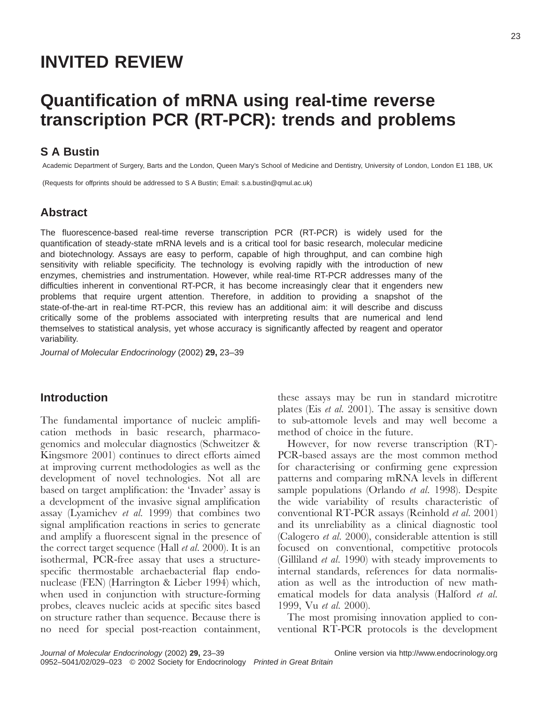# **INVITED REVIEW**

# **Quantification of mRNA using real-time reverse transcription PCR (RT-PCR): trends and problems**

#### **S A Bustin**

Academic Department of Surgery, Barts and the London, Queen Mary's School of Medicine and Dentistry, University of London, London E1 1BB, UK

(Requests for offprints should be addressed to S A Bustin; Email: s.a.bustin@qmul.ac.uk)

### **Abstract**

The fluorescence-based real-time reverse transcription PCR (RT-PCR) is widely used for the quantification of steady-state mRNA levels and is a critical tool for basic research, molecular medicine and biotechnology. Assays are easy to perform, capable of high throughput, and can combine high sensitivity with reliable specificity. The technology is evolving rapidly with the introduction of new enzymes, chemistries and instrumentation. However, while real-time RT-PCR addresses many of the difficulties inherent in conventional RT-PCR, it has become increasingly clear that it engenders new problems that require urgent attention. Therefore, in addition to providing a snapshot of the state-of-the-art in real-time RT-PCR, this review has an additional aim: it will describe and discuss critically some of the problems associated with interpreting results that are numerical and lend themselves to statistical analysis, yet whose accuracy is significantly affected by reagent and operator variability.

*Journal of Molecular Endocrinology* (2002) **29,** 23–39

#### **Introduction**

The fundamental importance of nucleic amplification methods in basic research, pharmacogenomics and molecular diagnostics (Schweitzer & Kingsmore 2001) continues to direct efforts aimed at improving current methodologies as well as the development of novel technologies. Not all are based on target amplification: the 'Invader' assay is a development of the invasive signal amplification assay (Lyamichev *et al.* 1999) that combines two signal amplification reactions in series to generate and amplify a fluorescent signal in the presence of the correct target sequence (Hall *et al.* 2000). It is an isothermal, PCR-free assay that uses a structurespecific thermostable archaebacterial flap endonuclease (FEN) (Harrington & Lieber 1994) which, when used in conjunction with structure-forming probes, cleaves nucleic acids at specific sites based on structure rather than sequence. Because there is no need for special post-reaction containment,

these assays may be run in standard microtitre plates (Eis *et al.* 2001). The assay is sensitive down to sub-attomole levels and may well become a method of choice in the future.

However, for now reverse transcription (RT)- PCR-based assays are the most common method for characterising or confirming gene expression patterns and comparing mRNA levels in different sample populations (Orlando *et al.* 1998). Despite the wide variability of results characteristic of conventional RT-PCR assays (Reinhold *et al.* 2001) and its unreliability as a clinical diagnostic tool (Calogero *et al.* 2000), considerable attention is still focused on conventional, competitive protocols (Gilliland *et al.* 1990) with steady improvements to internal standards, references for data normalisation as well as the introduction of new mathematical models for data analysis (Halford *et al.* 1999, Vu *et al.* 2000).

The most promising innovation applied to conventional RT-PCR protocols is the development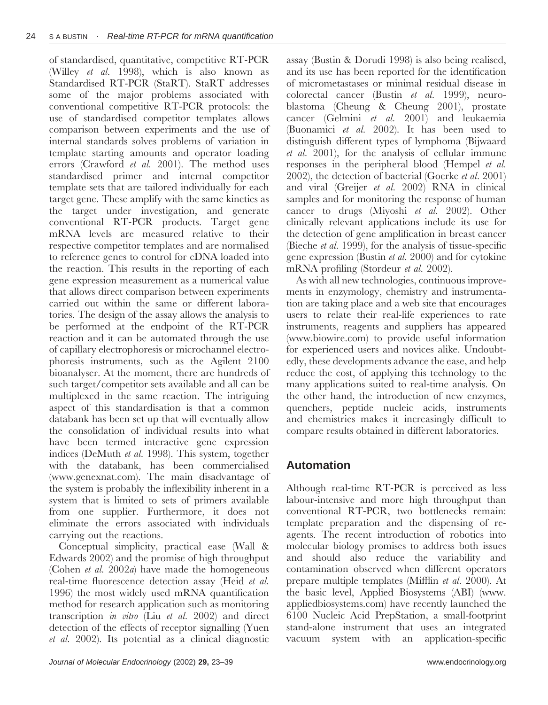of standardised, quantitative, competitive RT-PCR (Willey *et al.* 1998), which is also known as Standardised RT-PCR (StaRT). StaRT addresses some of the major problems associated with conventional competitive RT-PCR protocols: the use of standardised competitor templates allows comparison between experiments and the use of internal standards solves problems of variation in template starting amounts and operator loading errors (Crawford *et al.* 2001). The method uses standardised primer and internal competitor template sets that are tailored individually for each target gene. These amplify with the same kinetics as the target under investigation, and generate conventional RT-PCR products. Target gene mRNA levels are measured relative to their respective competitor templates and are normalised to reference genes to control for cDNA loaded into the reaction. This results in the reporting of each gene expression measurement as a numerical value that allows direct comparison between experiments carried out within the same or different laboratories. The design of the assay allows the analysis to be performed at the endpoint of the RT-PCR reaction and it can be automated through the use of capillary electrophoresis or microchannel electrophoresis instruments, such as the Agilent 2100 bioanalyser. At the moment, there are hundreds of such target/competitor sets available and all can be multiplexed in the same reaction. The intriguing aspect of this standardisation is that a common databank has been set up that will eventually allow the consolidation of individual results into what have been termed interactive gene expression indices (DeMuth *et al.* 1998). This system, together with the databank, has been commercialised (www.genexnat.com). The main disadvantage of the system is probably the inflexibility inherent in a system that is limited to sets of primers available from one supplier. Furthermore, it does not eliminate the errors associated with individuals carrying out the reactions.

Conceptual simplicity, practical ease (Wall & Edwards 2002) and the promise of high throughput (Cohen *et al.* 2002*a*) have made the homogeneous real-time fluorescence detection assay (Heid *et al.* 1996) the most widely used mRNA quantification method for research application such as monitoring transcription *in vitro* (Liu *et al.* 2002) and direct detection of the effects of receptor signalling (Yuen *et al.* 2002). Its potential as a clinical diagnostic

assay (Bustin & Dorudi 1998) is also being realised, and its use has been reported for the identification of micrometastases or minimal residual disease in colorectal cancer (Bustin *et al.* 1999), neuroblastoma (Cheung & Cheung 2001), prostate cancer (Gelmini *et al.* 2001) and leukaemia (Buonamici *et al.* 2002). It has been used to distinguish different types of lymphoma (Bijwaard *et al.* 2001), for the analysis of cellular immune responses in the peripheral blood (Hempel *et al.* 2002), the detection of bacterial (Goerke *et al.* 2001) and viral (Greijer *et al.* 2002) RNA in clinical samples and for monitoring the response of human cancer to drugs (Miyoshi *et al.* 2002). Other clinically relevant applications include its use for the detection of gene amplification in breast cancer (Bieche *et al.* 1999), for the analysis of tissue-specific gene expression (Bustin *et al.* 2000) and for cytokine mRNA profiling (Stordeur *et al.* 2002).

As with all new technologies, continuous improvements in enzymology, chemistry and instrumentation are taking place and a web site that encourages users to relate their real-life experiences to rate instruments, reagents and suppliers has appeared (www.biowire.com) to provide useful information for experienced users and novices alike. Undoubtedly, these developments advance the ease, and help reduce the cost, of applying this technology to the many applications suited to real-time analysis. On the other hand, the introduction of new enzymes, quenchers, peptide nucleic acids, instruments and chemistries makes it increasingly difficult to compare results obtained in different laboratories.

# **Automation**

Although real-time RT-PCR is perceived as less labour-intensive and more high throughput than conventional RT-PCR, two bottlenecks remain: template preparation and the dispensing of reagents. The recent introduction of robotics into molecular biology promises to address both issues and should also reduce the variability and contamination observed when different operators prepare multiple templates (Mifflin *et al.* 2000). At the basic level, Applied Biosystems (ABI) (www. appliedbiosystems.com) have recently launched the 6100 Nucleic Acid PrepStation, a small-footprint stand-alone instrument that uses an integrated vacuum system with an application-specific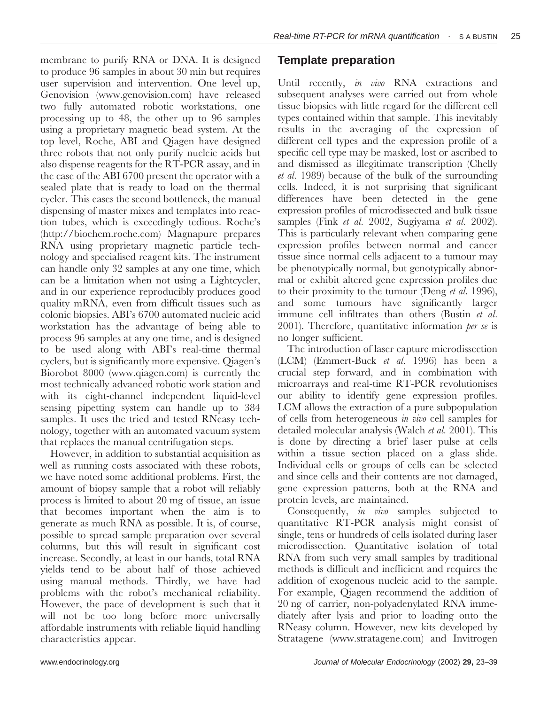membrane to purify RNA or DNA. It is designed to produce 96 samples in about 30 min but requires user supervision and intervention. One level up, Genovision (www.genovision.com) have released two fully automated robotic workstations, one processing up to 48, the other up to 96 samples using a proprietary magnetic bead system. At the top level, Roche, ABI and Qiagen have designed three robots that not only purify nucleic acids but also dispense reagents for the RT-PCR assay, and in the case of the ABI 6700 present the operator with a sealed plate that is ready to load on the thermal cycler. This eases the second bottleneck, the manual dispensing of master mixes and templates into reaction tubes, which is exceedingly tedious. Roche's (http://biochem.roche.com) Magnapure prepares RNA using proprietary magnetic particle technology and specialised reagent kits. The instrument can handle only 32 samples at any one time, which can be a limitation when not using a Lightcycler, and in our experience reproducibly produces good quality mRNA, even from difficult tissues such as colonic biopsies. ABI's 6700 automated nucleic acid workstation has the advantage of being able to process 96 samples at any one time, and is designed to be used along with ABI's real-time thermal cyclers, but is significantly more expensive. Qiagen's Biorobot 8000 (www.qiagen.com) is currently the most technically advanced robotic work station and with its eight-channel independent liquid-level sensing pipetting system can handle up to 384 samples. It uses the tried and tested RNeasy technology, together with an automated vacuum system that replaces the manual centrifugation steps.

However, in addition to substantial acquisition as well as running costs associated with these robots, we have noted some additional problems. First, the amount of biopsy sample that a robot will reliably process is limited to about 20 mg of tissue, an issue that becomes important when the aim is to generate as much RNA as possible. It is, of course, possible to spread sample preparation over several columns, but this will result in significant cost increase. Secondly, at least in our hands, total RNA yields tend to be about half of those achieved using manual methods. Thirdly, we have had problems with the robot's mechanical reliability. However, the pace of development is such that it will not be too long before more universally affordable instruments with reliable liquid handling characteristics appear.

#### **Template preparation**

Until recently, *in vivo* RNA extractions and subsequent analyses were carried out from whole tissue biopsies with little regard for the different cell types contained within that sample. This inevitably results in the averaging of the expression of different cell types and the expression profile of a specific cell type may be masked, lost or ascribed to and dismissed as illegitimate transcription (Chelly *et al.* 1989) because of the bulk of the surrounding cells. Indeed, it is not surprising that significant differences have been detected in the gene expression profiles of microdissected and bulk tissue samples (Fink *et al.* 2002, Sugiyama *et al.* 2002). This is particularly relevant when comparing gene expression profiles between normal and cancer tissue since normal cells adjacent to a tumour may be phenotypically normal, but genotypically abnormal or exhibit altered gene expression profiles due to their proximity to the tumour (Deng *et al.* 1996), and some tumours have significantly larger immune cell infiltrates than others (Bustin *et al.* 2001). Therefore, quantitative information *per se* is no longer sufficient.

The introduction of laser capture microdissection (LCM) (Emmert-Buck *et al.* 1996) has been a crucial step forward, and in combination with microarrays and real-time RT-PCR revolutionises our ability to identify gene expression profiles. LCM allows the extraction of a pure subpopulation of cells from heterogeneous *in vivo* cell samples for detailed molecular analysis (Walch *et al.* 2001). This is done by directing a brief laser pulse at cells within a tissue section placed on a glass slide. Individual cells or groups of cells can be selected and since cells and their contents are not damaged, gene expression patterns, both at the RNA and protein levels, are maintained.

Consequently, *in vivo* samples subjected to quantitative RT-PCR analysis might consist of single, tens or hundreds of cells isolated during laser microdissection. Quantitative isolation of total RNA from such very small samples by traditional methods is difficult and inefficient and requires the addition of exogenous nucleic acid to the sample. For example, Qiagen recommend the addition of 20 ng of carrier, non-polyadenylated RNA immediately after lysis and prior to loading onto the RNeasy column. However, new kits developed by Stratagene (www.stratagene.com) and Invitrogen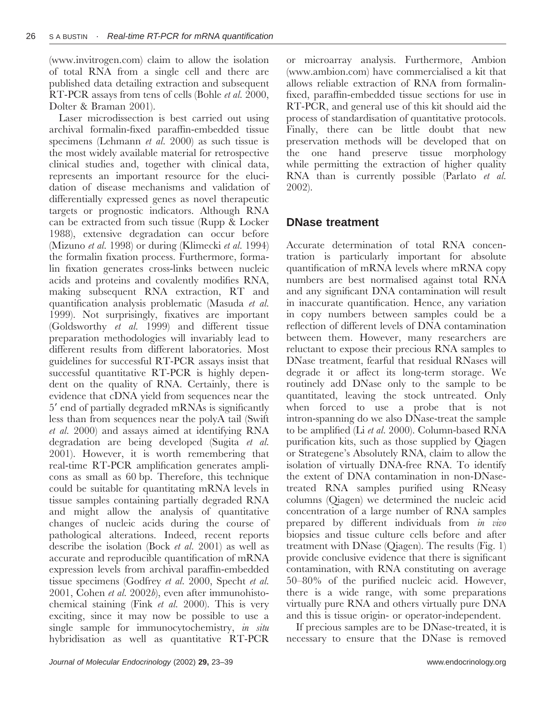(www.invitrogen.com) claim to allow the isolation of total RNA from a single cell and there are published data detailing extraction and subsequent RT-PCR assays from tens of cells (Bohle *et al.* 2000, Dolter & Braman 2001).

Laser microdissection is best carried out using archival formalin-fixed paraffin-embedded tissue specimens (Lehmann *et al.* 2000) as such tissue is the most widely available material for retrospective clinical studies and, together with clinical data, represents an important resource for the elucidation of disease mechanisms and validation of differentially expressed genes as novel therapeutic targets or prognostic indicators. Although RNA can be extracted from such tissue (Rupp & Locker 1988), extensive degradation can occur before (Mizuno *et al.* 1998) or during (Klimecki *et al.* 1994) the formalin fixation process. Furthermore, formalin fixation generates cross-links between nucleic acids and proteins and covalently modifies RNA, making subsequent RNA extraction, RT and quantification analysis problematic (Masuda *et al.* 1999). Not surprisingly, fixatives are important (Goldsworthy *et al.* 1999) and different tissue preparation methodologies will invariably lead to different results from different laboratories. Most guidelines for successful RT-PCR assays insist that successful quantitative RT-PCR is highly dependent on the quality of RNA. Certainly, there is evidence that cDNA yield from sequences near the 5 end of partially degraded mRNAs is significantly less than from sequences near the polyA tail (Swift *et al.* 2000) and assays aimed at identifying RNA degradation are being developed (Sugita *et al.* 2001). However, it is worth remembering that real-time RT-PCR amplification generates amplicons as small as 60 bp. Therefore, this technique could be suitable for quantitating mRNA levels in tissue samples containing partially degraded RNA and might allow the analysis of quantitative changes of nucleic acids during the course of pathological alterations. Indeed, recent reports describe the isolation (Bock *et al.* 2001) as well as accurate and reproducible quantification of mRNA expression levels from archival paraffin-embedded tissue specimens (Godfrey *et al.* 2000, Specht *et al.* 2001, Cohen *et al.* 2002*b*), even after immunohistochemical staining (Fink *et al.* 2000). This is very exciting, since it may now be possible to use a single sample for immunocytochemistry, *in situ* hybridisation as well as quantitative RT-PCR

or microarray analysis. Furthermore, Ambion (www.ambion.com) have commercialised a kit that allows reliable extraction of RNA from formalinfixed, paraffin-embedded tissue sections for use in RT-PCR, and general use of this kit should aid the process of standardisation of quantitative protocols. Finally, there can be little doubt that new preservation methods will be developed that on the one hand preserve tissue morphology while permitting the extraction of higher quality RNA than is currently possible (Parlato *et al.* 2002).

# **DNase treatment**

Accurate determination of total RNA concentration is particularly important for absolute quantification of mRNA levels where mRNA copy numbers are best normalised against total RNA and any significant DNA contamination will result in inaccurate quantification. Hence, any variation in copy numbers between samples could be a reflection of different levels of DNA contamination between them. However, many researchers are reluctant to expose their precious RNA samples to DNase treatment, fearful that residual RNases will degrade it or affect its long-term storage. We routinely add DNase only to the sample to be quantitated, leaving the stock untreated. Only when forced to use a probe that is not intron-spanning do we also DNase-treat the sample to be amplified (Li *et al.* 2000). Column-based RNA purification kits, such as those supplied by Qiagen or Strategene's Absolutely RNA, claim to allow the isolation of virtually DNA-free RNA. To identify the extent of DNA contamination in non-DNasetreated RNA samples purified using RNeasy columns (Qiagen) we determined the nucleic acid concentration of a large number of RNA samples prepared by different individuals from *in vivo* biopsies and tissue culture cells before and after treatment with DNase (Qiagen). The results (Fig. 1) provide conclusive evidence that there is significant contamination, with RNA constituting on average 50–80% of the purified nucleic acid. However, there is a wide range, with some preparations virtually pure RNA and others virtually pure DNA and this is tissue origin- or operator-independent.

If precious samples are to be DNase-treated, it is necessary to ensure that the DNase is removed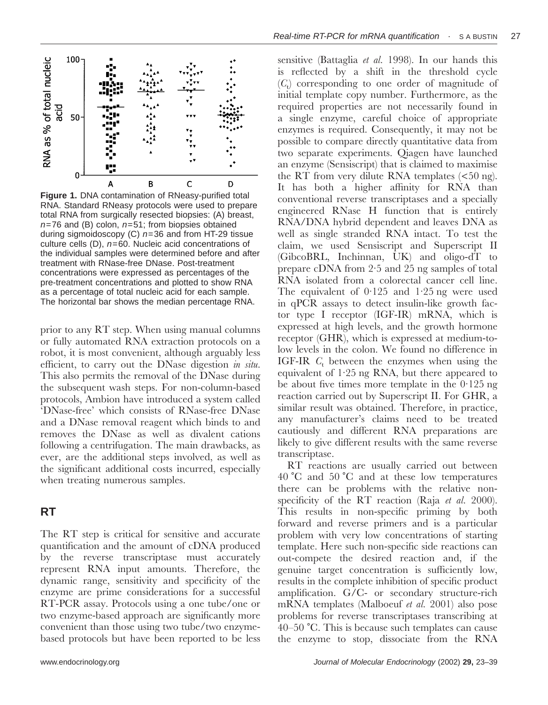

**Figure 1.** DNA contamination of RNeasy-purified total RNA. Standard RNeasy protocols were used to prepare total RNA from surgically resected biopsies: (A) breast, *n*=76 and (B) colon, *n*=51; from biopsies obtained during sigmoidoscopy (C) *n*=36 and from HT-29 tissue culture cells (D), *n*=60. Nucleic acid concentrations of the individual samples were determined before and after treatment with RNase-free DNase. Post-treatment concentrations were expressed as percentages of the pre-treatment concentrations and plotted to show RNA as a percentage of total nucleic acid for each sample. The horizontal bar shows the median percentage RNA.

prior to any RT step. When using manual columns or fully automated RNA extraction protocols on a robot, it is most convenient, although arguably less efficient, to carry out the DNase digestion *in situ*. This also permits the removal of the DNase during the subsequent wash steps. For non-column-based protocols, Ambion have introduced a system called 'DNase-free' which consists of RNase-free DNase and a DNase removal reagent which binds to and removes the DNase as well as divalent cations following a centrifugation. The main drawbacks, as ever, are the additional steps involved, as well as the significant additional costs incurred, especially when treating numerous samples.

#### **RT**

The RT step is critical for sensitive and accurate quantification and the amount of cDNA produced by the reverse transcriptase must accurately represent RNA input amounts. Therefore, the dynamic range, sensitivity and specificity of the enzyme are prime considerations for a successful RT-PCR assay. Protocols using a one tube/one or two enzyme-based approach are significantly more convenient than those using two tube/two enzymebased protocols but have been reported to be less sensitive (Battaglia *et al.* 1998). In our hands this is reflected by a shift in the threshold cycle (*C*t ) corresponding to one order of magnitude of initial template copy number. Furthermore, as the required properties are not necessarily found in a single enzyme, careful choice of appropriate enzymes is required. Consequently, it may not be possible to compare directly quantitative data from two separate experiments. Qiagen have launched an enzyme (Sensiscript) that is claimed to maximise the RT from very dilute RNA templates  $\langle$  <50 ng). It has both a higher affinity for RNA than conventional reverse transcriptases and a specially engineered RNase H function that is entirely RNA/DNA hybrid dependent and leaves DNA as well as single stranded RNA intact. To test the claim, we used Sensiscript and Superscript II (GibcoBRL, Inchinnan, UK) and oligo-dT to prepare cDNA from 2·5 and 25 ng samples of total RNA isolated from a colorectal cancer cell line. The equivalent of  $0.125$  and  $1.25$  ng were used in qPCR assays to detect insulin-like growth factor type I receptor (IGF-IR) mRNA, which is expressed at high levels, and the growth hormone receptor (GHR), which is expressed at medium-tolow levels in the colon. We found no difference in IGF-IR  $C_t$  between the enzymes when using the equivalent of  $1.25$  ng RNA, but there appeared to be about five times more template in the 0·125 ng reaction carried out by Superscript II. For GHR, a similar result was obtained. Therefore, in practice, any manufacturer's claims need to be treated cautiously and different RNA preparations are likely to give different results with the same reverse transcriptase.

RT reactions are usually carried out between 40 °C and 50 °C and at these low temperatures there can be problems with the relative nonspecificity of the RT reaction (Raja *et al.* 2000). This results in non-specific priming by both forward and reverse primers and is a particular problem with very low concentrations of starting template. Here such non-specific side reactions can out-compete the desired reaction and, if the genuine target concentration is sufficiently low, results in the complete inhibition of specific product amplification. G/C- or secondary structure-rich mRNA templates (Malboeuf *et al.* 2001) also pose problems for reverse transcriptases transcribing at 40–50 °C. This is because such templates can cause the enzyme to stop, dissociate from the RNA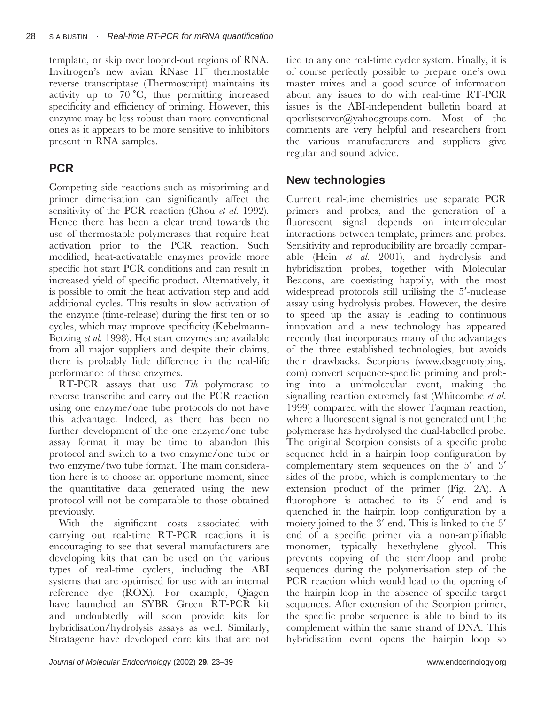template, or skip over looped-out regions of RNA. Invitrogen's new avian RNase H– thermostable reverse transcriptase (Thermoscript) maintains its activity up to 70 °C, thus permitting increased specificity and efficiency of priming. However, this enzyme may be less robust than more conventional ones as it appears to be more sensitive to inhibitors present in RNA samples.

# **PCR**

Competing side reactions such as mispriming and primer dimerisation can significantly affect the sensitivity of the PCR reaction (Chou *et al.* 1992). Hence there has been a clear trend towards the use of thermostable polymerases that require heat activation prior to the PCR reaction. Such modified, heat-activatable enzymes provide more specific hot start PCR conditions and can result in increased yield of specific product. Alternatively, it is possible to omit the heat activation step and add additional cycles. This results in slow activation of the enzyme (time-release) during the first ten or so cycles, which may improve specificity (Kebelmann-Betzing *et al.* 1998). Hot start enzymes are available from all major suppliers and despite their claims, there is probably little difference in the real-life performance of these enzymes.

RT-PCR assays that use *Tth* polymerase to reverse transcribe and carry out the PCR reaction using one enzyme/one tube protocols do not have this advantage. Indeed, as there has been no further development of the one enzyme/one tube assay format it may be time to abandon this protocol and switch to a two enzyme/one tube or two enzyme/two tube format. The main consideration here is to choose an opportune moment, since the quantitative data generated using the new protocol will not be comparable to those obtained previously.

With the significant costs associated with carrying out real-time RT-PCR reactions it is encouraging to see that several manufacturers are developing kits that can be used on the various types of real-time cyclers, including the ABI systems that are optimised for use with an internal reference dye (ROX). For example, Qiagen have launched an SYBR Green RT-PCR kit and undoubtedly will soon provide kits for hybridisation/hydrolysis assays as well. Similarly, Stratagene have developed core kits that are not

tied to any one real-time cycler system. Finally, it is of course perfectly possible to prepare one's own master mixes and a good source of information about any issues to do with real-time RT-PCR issues is the ABI-independent bulletin board at qpcrlistserver@yahoogroups.com. Most of the comments are very helpful and researchers from the various manufacturers and suppliers give regular and sound advice.

# **New technologies**

Current real-time chemistries use separate PCR primers and probes, and the generation of a fluorescent signal depends on intermolecular interactions between template, primers and probes. Sensitivity and reproducibility are broadly comparable (Hein *et al.* 2001), and hydrolysis and hybridisation probes, together with Molecular Beacons, are coexisting happily, with the most widespread protocols still utilising the 5'-nuclease assay using hydrolysis probes. However, the desire to speed up the assay is leading to continuous innovation and a new technology has appeared recently that incorporates many of the advantages of the three established technologies, but avoids their drawbacks. Scorpions (www.dxsgenotyping. com) convert sequence-specific priming and probing into a unimolecular event, making the signalling reaction extremely fast (Whitcombe *et al.* 1999) compared with the slower Taqman reaction, where a fluorescent signal is not generated until the polymerase has hydrolysed the dual-labelled probe. The original Scorpion consists of a specific probe sequence held in a hairpin loop configuration by complementary stem sequences on the 5' and 3' sides of the probe, which is complementary to the extension product of the primer (Fig. 2A). A fluorophore is attached to its 5' end and is quenched in the hairpin loop configuration by a moiety joined to the  $3'$  end. This is linked to the  $5'$ end of a specific primer via a non-amplifiable monomer, typically hexethylene glycol. This prevents copying of the stem/loop and probe sequences during the polymerisation step of the PCR reaction which would lead to the opening of the hairpin loop in the absence of specific target sequences. After extension of the Scorpion primer, the specific probe sequence is able to bind to its complement within the same strand of DNA. This hybridisation event opens the hairpin loop so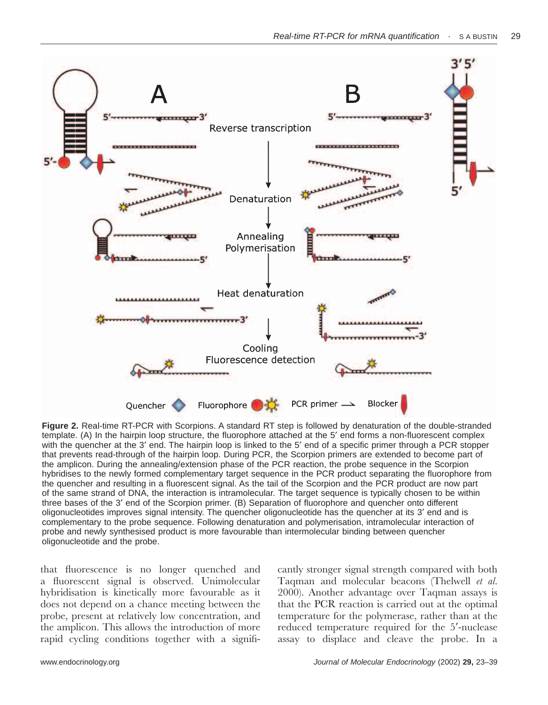

**Figure 2.** Real-time RT-PCR with Scorpions. A standard RT step is followed by denaturation of the double-stranded template. (A) In the hairpin loop structure, the fluorophore attached at the 5′ end forms a non-fluorescent complex with the quencher at the 3' end. The hairpin loop is linked to the 5' end of a specific primer through a PCR stopper that prevents read-through of the hairpin loop. During PCR, the Scorpion primers are extended to become part of the amplicon. During the annealing/extension phase of the PCR reaction, the probe sequence in the Scorpion hybridises to the newly formed complementary target sequence in the PCR product separating the fluorophore from the quencher and resulting in a fluorescent signal. As the tail of the Scorpion and the PCR product are now part of the same strand of DNA, the interaction is intramolecular. The target sequence is typically chosen to be within three bases of the 3′ end of the Scorpion primer. (B) Separation of fluorophore and quencher onto different oligonucleotides improves signal intensity. The quencher oligonucleotide has the quencher at its 3′ end and is complementary to the probe sequence. Following denaturation and polymerisation, intramolecular interaction of probe and newly synthesised product is more favourable than intermolecular binding between quencher oligonucleotide and the probe.

that fluorescence is no longer quenched and a fluorescent signal is observed. Unimolecular hybridisation is kinetically more favourable as it does not depend on a chance meeting between the probe, present at relatively low concentration, and the amplicon. This allows the introduction of more rapid cycling conditions together with a significantly stronger signal strength compared with both Taqman and molecular beacons (Thelwell *et al.* 2000). Another advantage over Taqman assays is that the PCR reaction is carried out at the optimal temperature for the polymerase, rather than at the reduced temperature required for the 5-nuclease assay to displace and cleave the probe. In a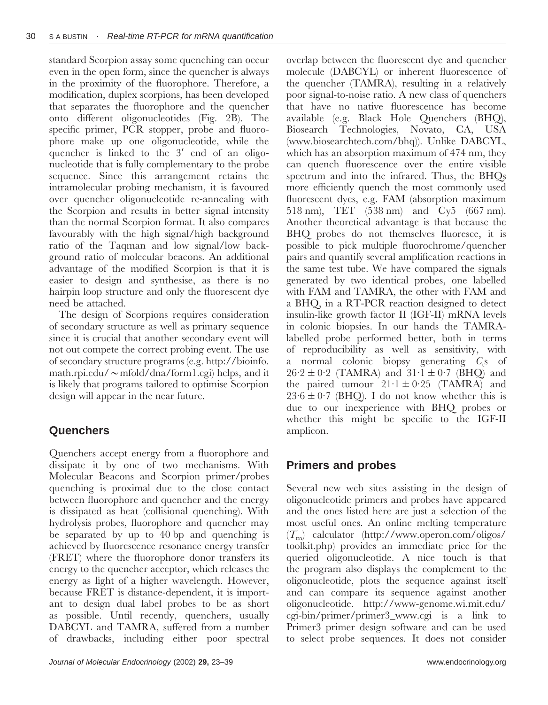standard Scorpion assay some quenching can occur even in the open form, since the quencher is always in the proximity of the fluorophore. Therefore, a modification, duplex scorpions, has been developed that separates the fluorophore and the quencher onto different oligonucleotides (Fig. 2B). The specific primer, PCR stopper, probe and fluorophore make up one oligonucleotide, while the quencher is linked to the 3' end of an oligonucleotide that is fully complementary to the probe sequence. Since this arrangement retains the intramolecular probing mechanism, it is favoured over quencher oligonucleotide re-annealing with the Scorpion and results in better signal intensity than the normal Scorpion format. It also compares favourably with the high signal/high background ratio of the Taqman and low signal/low background ratio of molecular beacons. An additional advantage of the modified Scorpion is that it is easier to design and synthesise, as there is no hairpin loop structure and only the fluorescent dye need be attached.

The design of Scorpions requires consideration of secondary structure as well as primary sequence since it is crucial that another secondary event will not out compete the correct probing event. The use of secondary structure programs (e.g. http://bioinfo. math.rpi.edu/ $\sim$ mfold/dna/form1.cgi) helps, and it is likely that programs tailored to optimise Scorpion design will appear in the near future.

# **Quenchers**

Quenchers accept energy from a fluorophore and dissipate it by one of two mechanisms. With Molecular Beacons and Scorpion primer/probes quenching is proximal due to the close contact between fluorophore and quencher and the energy is dissipated as heat (collisional quenching). With hydrolysis probes, fluorophore and quencher may be separated by up to 40 bp and quenching is achieved by fluorescence resonance energy transfer (FRET) where the fluorophore donor transfers its energy to the quencher acceptor, which releases the energy as light of a higher wavelength. However, because FRET is distance-dependent, it is important to design dual label probes to be as short as possible. Until recently, quenchers, usually DABCYL and TAMRA, suffered from a number of drawbacks, including either poor spectral

overlap between the fluorescent dye and quencher molecule (DABCYL) or inherent fluorescence of the quencher (TAMRA), resulting in a relatively poor signal-to-noise ratio. A new class of quenchers that have no native fluorescence has become available (e.g. Black Hole Quenchers (BHQ), Biosearch Technologies, Novato, CA, USA (www.biosearchtech.com/bhq)). Unlike DABCYL, which has an absorption maximum of 474 nm, they can quench fluorescence over the entire visible spectrum and into the infrared. Thus, the BHQs more efficiently quench the most commonly used fluorescent dyes, e.g. FAM (absorption maximum 518 nm), TET (538 nm) and Cy5 (667 nm). Another theoretical advantage is that because the BHQ probes do not themselves fluoresce, it is possible to pick multiple fluorochrome/quencher pairs and quantify several amplification reactions in the same test tube. We have compared the signals generated by two identical probes, one labelled with FAM and TAMRA, the other with FAM and a BHQ, in a RT-PCR reaction designed to detect insulin-like growth factor II (IGF-II) mRNA levels in colonic biopsies. In our hands the TAMRAlabelled probe performed better, both in terms of reproducibility as well as sensitivity, with a normal colonic biopsy generating  $C_t$ s of  $26.2 \pm 0.2$  (TAMRA) and  $31.1 \pm 0.7$  (BHQ) and the paired tumour  $21 \cdot 1 \pm 0.25$  (TAMRA) and  $23.6 \pm 0.7$  (BHQ). I do not know whether this is due to our inexperience with BHQ probes or whether this might be specific to the IGF-II amplicon.

# **Primers and probes**

Several new web sites assisting in the design of oligonucleotide primers and probes have appeared and the ones listed here are just a selection of the most useful ones. An online melting temperature (*T*m) calculator (http://www.operon.com/oligos/ toolkit.php) provides an immediate price for the queried oligonucleotide. A nice touch is that the program also displays the complement to the oligonucleotide, plots the sequence against itself and can compare its sequence against another oligonucleotide. http://www-genome.wi.mit.edu/ cgi-bin/primer/primer3\_www.cgi is a link to Primer3 primer design software and can be used to select probe sequences. It does not consider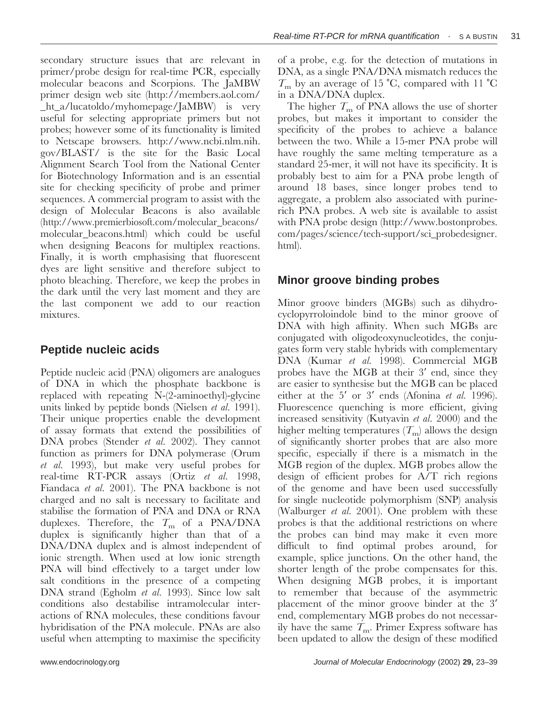secondary structure issues that are relevant in primer/probe design for real-time PCR, especially molecular beacons and Scorpions. The JaMBW primer design web site (http://members.aol.com/ \_ht\_a/lucatoldo/myhomepage/JaMBW) is very useful for selecting appropriate primers but not probes; however some of its functionality is limited to Netscape browsers. http://www.ncbi.nlm.nih. gov/BLAST/ is the site for the Basic Local Alignment Search Tool from the National Center for Biotechnology Information and is an essential site for checking specificity of probe and primer sequences. A commercial program to assist with the design of Molecular Beacons is also available (http://www.premierbiosoft.com/molecular\_beacons/ molecular\_beacons.html) which could be useful when designing Beacons for multiplex reactions. Finally, it is worth emphasising that fluorescent dyes are light sensitive and therefore subject to photo bleaching. Therefore, we keep the probes in the dark until the very last moment and they are the last component we add to our reaction mixtures.

## **Peptide nucleic acids**

Peptide nucleic acid (PNA) oligomers are analogues of DNA in which the phosphate backbone is replaced with repeating N-(2-aminoethyl)-glycine units linked by peptide bonds (Nielsen *et al.* 1991). Their unique properties enable the development of assay formats that extend the possibilities of DNA probes (Stender *et al.* 2002). They cannot function as primers for DNA polymerase (Orum *et al.* 1993), but make very useful probes for real-time RT-PCR assays (Ortiz *et al.* 1998, Fiandaca *et al.* 2001). The PNA backbone is not charged and no salt is necessary to facilitate and stabilise the formation of PNA and DNA or RNA duplexes. Therefore, the  $T_m$  of a PNA/DNA duplex is significantly higher than that of a DNA/DNA duplex and is almost independent of ionic strength. When used at low ionic strength PNA will bind effectively to a target under low salt conditions in the presence of a competing DNA strand (Egholm *et al.* 1993). Since low salt conditions also destabilise intramolecular interactions of RNA molecules, these conditions favour hybridisation of the PNA molecule. PNAs are also useful when attempting to maximise the specificity of a probe, e.g. for the detection of mutations in DNA, as a single PNA/DNA mismatch reduces the  $T_{\rm m}$  by an average of 15 °C, compared with 11 °C in a DNA/DNA duplex.

The higher  $T_{\text{m}}$  of PNA allows the use of shorter probes, but makes it important to consider the specificity of the probes to achieve a balance between the two. While a 15-mer PNA probe will have roughly the same melting temperature as a standard 25-mer, it will not have its specificity. It is probably best to aim for a PNA probe length of around 18 bases, since longer probes tend to aggregate, a problem also associated with purinerich PNA probes. A web site is available to assist with PNA probe design (http://www.bostonprobes. com/pages/science/tech-support/sci\_probedesigner. html).

# **Minor groove binding probes**

Minor groove binders (MGBs) such as dihydrocyclopyrroloindole bind to the minor groove of DNA with high affinity. When such MGBs are conjugated with oligodeoxynucleotides, the conjugates form very stable hybrids with complementary DNA (Kumar *et al.* 1998). Commercial MGB probes have the MGB at their  $3'$  end, since they are easier to synthesise but the MGB can be placed either at the  $5'$  or  $3'$  ends (Afonina *et al.* 1996). Fluorescence quenching is more efficient, giving increased sensitivity (Kutyavin *et al.* 2000) and the higher melting temperatures  $(T<sub>m</sub>)$  allows the design of significantly shorter probes that are also more specific, especially if there is a mismatch in the MGB region of the duplex. MGB probes allow the design of efficient probes for A/T rich regions of the genome and have been used successfully for single nucleotide polymorphism (SNP) analysis (Walburger *et al.* 2001). One problem with these probes is that the additional restrictions on where the probes can bind may make it even more difficult to find optimal probes around, for example, splice junctions. On the other hand, the shorter length of the probe compensates for this. When designing MGB probes, it is important to remember that because of the asymmetric placement of the minor groove binder at the 3 end, complementary MGB probes do not necessarily have the same  $T_{\text{m}}$ . Primer Express software has been updated to allow the design of these modified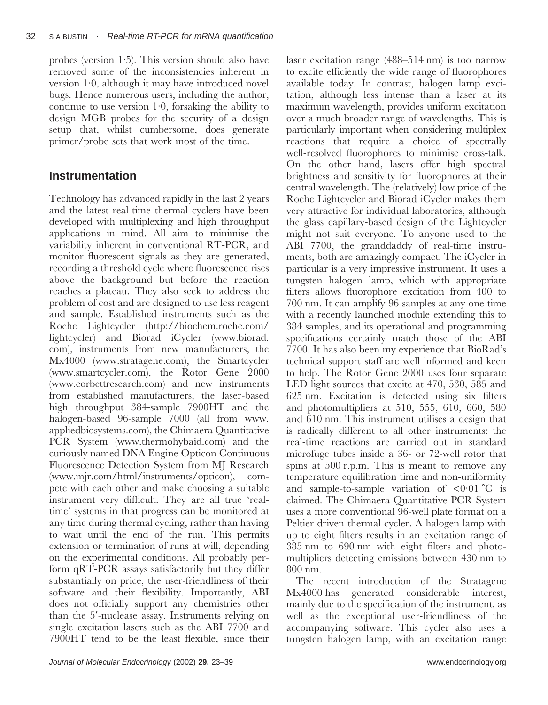probes (version  $1·5$ ). This version should also have removed some of the inconsistencies inherent in version 1·0, although it may have introduced novel bugs. Hence numerous users, including the author, continue to use version  $1.0$ , forsaking the ability to design MGB probes for the security of a design setup that, whilst cumbersome, does generate primer/probe sets that work most of the time.

## **Instrumentation**

Technology has advanced rapidly in the last 2 years and the latest real-time thermal cyclers have been developed with multiplexing and high throughput applications in mind. All aim to minimise the variability inherent in conventional RT-PCR, and monitor fluorescent signals as they are generated, recording a threshold cycle where fluorescence rises above the background but before the reaction reaches a plateau. They also seek to address the problem of cost and are designed to use less reagent and sample. Established instruments such as the Roche Lightcycler (http://biochem.roche.com/ lightcycler) and Biorad iCycler (www.biorad. com), instruments from new manufacturers, the Mx4000 (www.stratagene.com), the Smartcycler (www.smartcycler.com), the Rotor Gene 2000 (www.corbettresearch.com) and new instruments from established manufacturers, the laser-based high throughput 384-sample 7900HT and the halogen-based 96-sample 7000 (all from www. appliedbiosystems.com), the Chimaera Quantitative PCR System (www.thermohybaid.com) and the curiously named DNA Engine Opticon Continuous Fluorescence Detection System from MJ Research (www.mjr.com/html/instruments/opticon), compete with each other and make choosing a suitable instrument very difficult. They are all true 'realtime' systems in that progress can be monitored at any time during thermal cycling, rather than having to wait until the end of the run. This permits extension or termination of runs at will, depending on the experimental conditions. All probably perform qRT-PCR assays satisfactorily but they differ substantially on price, the user-friendliness of their software and their flexibility. Importantly, ABI does not officially support any chemistries other than the 5-nuclease assay. Instruments relying on single excitation lasers such as the ABI 7700 and 7900HT tend to be the least flexible, since their laser excitation range (488–514 nm) is too narrow to excite efficiently the wide range of fluorophores available today. In contrast, halogen lamp excitation, although less intense than a laser at its maximum wavelength, provides uniform excitation over a much broader range of wavelengths. This is particularly important when considering multiplex reactions that require a choice of spectrally well-resolved fluorophores to minimise cross-talk. On the other hand, lasers offer high spectral brightness and sensitivity for fluorophores at their central wavelength. The (relatively) low price of the Roche Lightcycler and Biorad iCycler makes them very attractive for individual laboratories, although the glass capillary-based design of the Lightcycler might not suit everyone. To anyone used to the ABI 7700, the granddaddy of real-time instruments, both are amazingly compact. The iCycler in particular is a very impressive instrument. It uses a tungsten halogen lamp, which with appropriate filters allows fluorophore excitation from 400 to 700 nm. It can amplify 96 samples at any one time with a recently launched module extending this to 384 samples, and its operational and programming specifications certainly match those of the ABI 7700. It has also been my experience that BioRad's technical support staff are well informed and keen to help. The Rotor Gene 2000 uses four separate LED light sources that excite at 470, 530, 585 and 625 nm. Excitation is detected using six filters and photomultipliers at 510, 555, 610, 660, 580 and 610 nm. This instrument utilises a design that is radically different to all other instruments: the real-time reactions are carried out in standard microfuge tubes inside a 36- or 72-well rotor that spins at 500 r.p.m. This is meant to remove any temperature equilibration time and non-uniformity and sample-to-sample variation of  $\langle 0.01 \degree C \rangle$  is claimed. The Chimaera Quantitative PCR System uses a more conventional 96-well plate format on a Peltier driven thermal cycler. A halogen lamp with up to eight filters results in an excitation range of 385 nm to 690 nm with eight filters and photomultipliers detecting emissions between 430 nm to 800 nm.

The recent introduction of the Stratagene Mx4000 has generated considerable interest, mainly due to the specification of the instrument, as well as the exceptional user-friendliness of the accompanying software. This cycler also uses a tungsten halogen lamp, with an excitation range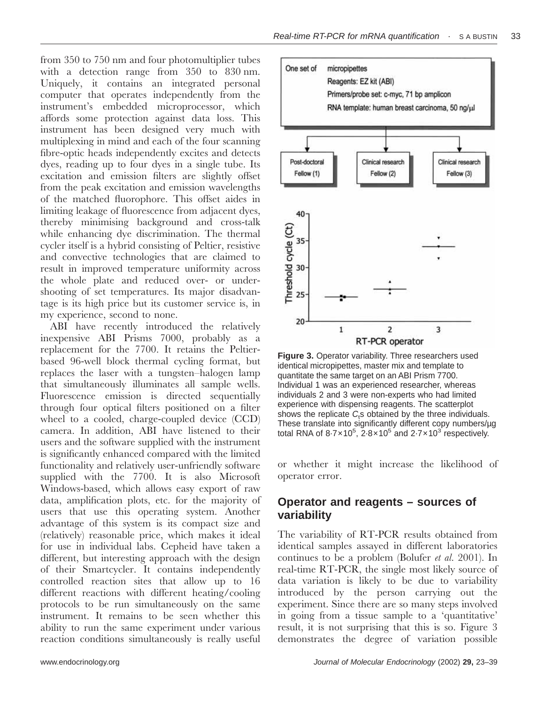from 350 to 750 nm and four photomultiplier tubes with a detection range from 350 to 830 nm. Uniquely, it contains an integrated personal computer that operates independently from the instrument's embedded microprocessor, which affords some protection against data loss. This instrument has been designed very much with multiplexing in mind and each of the four scanning fibre-optic heads independently excites and detects dyes, reading up to four dyes in a single tube. Its excitation and emission filters are slightly offset from the peak excitation and emission wavelengths of the matched fluorophore. This offset aides in limiting leakage of fluorescence from adjacent dyes, thereby minimising background and cross-talk while enhancing dye discrimination. The thermal cycler itself is a hybrid consisting of Peltier, resistive and convective technologies that are claimed to result in improved temperature uniformity across the whole plate and reduced over- or undershooting of set temperatures. Its major disadvantage is its high price but its customer service is, in my experience, second to none.

ABI have recently introduced the relatively inexpensive ABI Prisms 7000, probably as a replacement for the 7700. It retains the Peltierbased 96-well block thermal cycling format, but replaces the laser with a tungsten–halogen lamp that simultaneously illuminates all sample wells. Fluorescence emission is directed sequentially through four optical filters positioned on a filter wheel to a cooled, charge-coupled device (CCD) camera. In addition, ABI have listened to their users and the software supplied with the instrument is significantly enhanced compared with the limited functionality and relatively user-unfriendly software supplied with the 7700. It is also Microsoft Windows-based, which allows easy export of raw data, amplification plots, etc. for the majority of users that use this operating system. Another advantage of this system is its compact size and (relatively) reasonable price, which makes it ideal for use in individual labs. Cepheid have taken a different, but interesting approach with the design of their Smartcycler. It contains independently controlled reaction sites that allow up to 16 different reactions with different heating/cooling protocols to be run simultaneously on the same instrument. It remains to be seen whether this ability to run the same experiment under various reaction conditions simultaneously is really useful



**Figure 3.** Operator variability. Three researchers used identical micropipettes, master mix and template to quantitate the same target on an ABI Prism 7700. Individual 1 was an experienced researcher, whereas individuals 2 and 3 were non-experts who had limited experience with dispensing reagents. The scatterplot shows the replicate C<sub>t</sub>s obtained by the three individuals. These translate into significantly different copy numbers/µg total RNA of 8 $7 \times 10^5$ , 2 $8 \times 10^5$  and 2 $7 \times 10^3$  respectively.

or whether it might increase the likelihood of operator error.

## **Operator and reagents – sources of variability**

The variability of RT-PCR results obtained from identical samples assayed in different laboratories continues to be a problem (Bolufer *et al.* 2001). In real-time RT-PCR, the single most likely source of data variation is likely to be due to variability introduced by the person carrying out the experiment. Since there are so many steps involved in going from a tissue sample to a 'quantitative' result, it is not surprising that this is so. Figure 3 demonstrates the degree of variation possible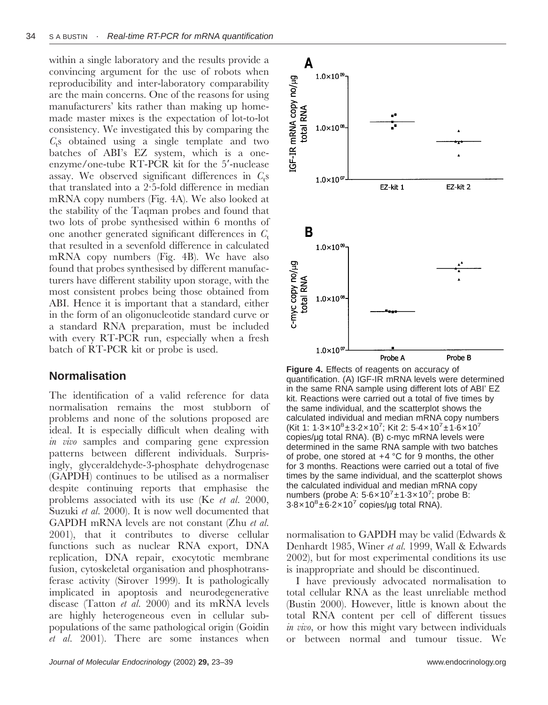within a single laboratory and the results provide a convincing argument for the use of robots when reproducibility and inter-laboratory comparability are the main concerns. One of the reasons for using manufacturers' kits rather than making up homemade master mixes is the expectation of lot-to-lot consistency. We investigated this by comparing the *C*t s obtained using a single template and two batches of ABI's EZ system, which is a oneenzyme/one-tube RT-PCR kit for the 5-nuclease assay. We observed significant differences in  $C_t$ s that translated into a 2·5-fold difference in median mRNA copy numbers (Fig. 4A). We also looked at the stability of the Taqman probes and found that two lots of probe synthesised within 6 months of one another generated significant differences in  $C<sub>t</sub>$ that resulted in a sevenfold difference in calculated mRNA copy numbers (Fig. 4B). We have also found that probes synthesised by different manufacturers have different stability upon storage, with the most consistent probes being those obtained from ABI. Hence it is important that a standard, either in the form of an oligonucleotide standard curve or a standard RNA preparation, must be included with every RT-PCR run, especially when a fresh batch of RT-PCR kit or probe is used.

### **Normalisation**

The identification of a valid reference for data normalisation remains the most stubborn of problems and none of the solutions proposed are ideal. It is especially difficult when dealing with *in vivo* samples and comparing gene expression patterns between different individuals. Surprisingly, glyceraldehyde-3-phosphate dehydrogenase (GAPDH) continues to be utilised as a normaliser despite continuing reports that emphasise the problems associated with its use (Ke *et al.* 2000, Suzuki *et al.* 2000). It is now well documented that GAPDH mRNA levels are not constant (Zhu *et al.* 2001), that it contributes to diverse cellular functions such as nuclear RNA export, DNA replication, DNA repair, exocytotic membrane fusion, cytoskeletal organisation and phosphotransferase activity (Sirover 1999). It is pathologically implicated in apoptosis and neurodegenerative disease (Tatton *et al.* 2000) and its mRNA levels are highly heterogeneous even in cellular subpopulations of the same pathological origin (Goidin *et al.* 2001). There are some instances when



**Figure 4.** Effects of reagents on accuracy of quantification. (A) IGF-IR mRNA levels were determined in the same RNA sample using different lots of ABI' EZ kit. Reactions were carried out a total of five times by the same individual, and the scatterplot shows the calculated individual and median mRNA copy numbers (Kit 1: 1 $\cdot$ 3×10<sup>8</sup>±3 $\cdot$ 2×10<sup>7</sup>; Kit 2: 5 $\cdot$ 4×10<sup>7</sup>±1 $\cdot$ 6×10<sup>7</sup> copies/µg total RNA). (B) c-myc mRNA levels were determined in the same RNA sample with two batches of probe, one stored at  $+4$  °C for 9 months, the other for 3 months. Reactions were carried out a total of five times by the same individual, and the scatterplot shows the calculated individual and median mRNA copy numbers (probe A:  $5.6 \times 10^7 \pm 1.3 \times 10^7$ ; probe B:  $3.8\times10^8$ ± $6.2\times10^7$  copies/µg total RNA).

normalisation to GAPDH may be valid (Edwards & Denhardt 1985, Winer *et al.* 1999, Wall & Edwards 2002), but for most experimental conditions its use is inappropriate and should be discontinued.

I have previously advocated normalisation to total cellular RNA as the least unreliable method (Bustin 2000). However, little is known about the total RNA content per cell of different tissues *in vivo*, or how this might vary between individuals between normal and tumour tissue. We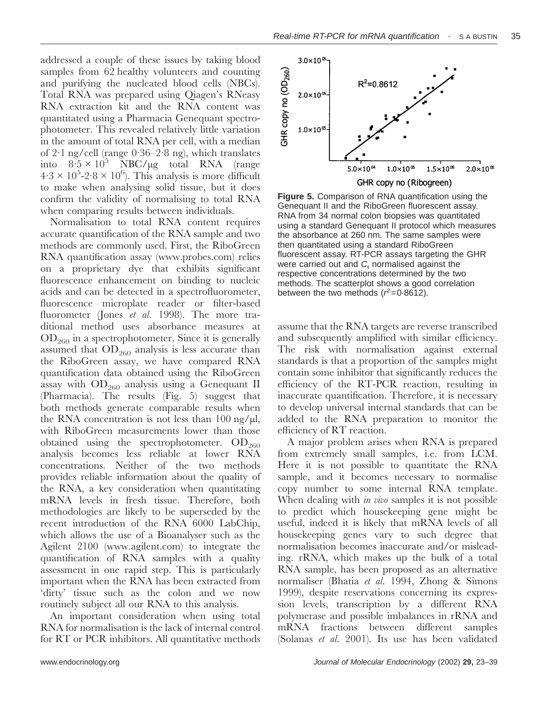addressed a couple of these issues by taking blood samples from 62 healthy volunteers and counting and purifying the nucleated blood cells (NBCs). Total RNA was prepared using Qiagen's RNeasy RNA extraction kit and the RNA content was quantitated using a Pharmacia Genequant spectrophotometer. This revealed relatively little variation in the amount of total RNA per cell, with a median of 2·1 ng/cell (range 0·36–2·8 ng), which translates into  $8\cdot5\times10^5$  NBC/µg total RNA (range  $4.3 \times 10^5$ -2.8  $\times 10^6$ ). This analysis is more difficult to make when analysing solid tissue, but it does confirm the validity of normalising to total RNA when comparing results between individuals.

Normalisation to total RNA content requires accurate quantification of the RNA sample and two methods are commonly used. First, the RiboGreen RNA quantification assay (www.probes.com) relies on a proprietary dye that exhibits significant fluorescence enhancement on binding to nucleic acids and can be detected in a spectrofluorometer, fluorescence microplate reader or filter-based fluorometer (Jones *et al.* 1998). The more traditional method uses absorbance measures at  $OD_{260}$  in a spectrophotometer. Since it is generally assumed that  $OD_{260}$  analysis is less accurate than the RiboGreen assay, we have compared RNA quantification data obtained using the RiboGreen assay with  $OD_{260}$  analysis using a Genequant II (Pharmacia). The results (Fig. 5) suggest that both methods generate comparable results when the RNA concentration is not less than  $100 \text{ ng}/\mu\text{l}$ , with RiboGreen measurements lower than those obtained using the spectrophotometer.  $OD_{260}$ analysis becomes less reliable at lower RNA concentrations. Neither of the two methods provides reliable information about the quality of the RNA, a key consideration when quantitating mRNA levels in fresh tissue. Therefore, both methodologies are likely to be superseded by the recent introduction of the RNA 6000 LabChip, which allows the use of a Bioanalyser such as the Agilent 2100 (www.agilent.com) to integrate the quantification of RNA samples with a quality assessment in one rapid step. This is particularly important when the RNA has been extracted from 'dirty' tissue such as the colon and we now routinely subject all our RNA to this analysis.

An important consideration when using total RNA for normalisation is the lack of internal control for RT or PCR inhibitors. All quantitative methods



**Figure 5.** Comparison of RNA quantification using the Genequant II and the RiboGreen fluorescent assay. RNA from 34 normal colon biopsies was quantitated using a standard Genequant II protocol which measures the absorbance at 260 nm. The same samples were then quantitated using a standard RiboGreen fluorescent assay. RT-PCR assays targeting the GHR were carried out and C<sub>t</sub> normalised against the respective concentrations determined by the two methods. The scatterplot shows a good correlation between the two methods  $(r^2=0.8612)$ .

assume that the RNA targets are reverse transcribed and subsequently amplified with similar efficiency. The risk with normalisation against external standards is that a proportion of the samples might contain some inhibitor that significantly reduces the efficiency of the RT-PCR reaction, resulting in inaccurate quantification. Therefore, it is necessary to develop universal internal standards that can be added to the RNA preparation to monitor the efficiency of RT reaction.

A major problem arises when RNA is prepared from extremely small samples, i.e. from LCM. Here it is not possible to quantitate the RNA sample, and it becomes necessary to normalise copy number to some internal RNA template. When dealing with *in vivo* samples it is not possible to predict which housekeeping gene might be useful, indeed it is likely that mRNA levels of all housekeeping genes vary to such degree that normalisation becomes inaccurate and/or misleading. rRNA, which makes up the bulk of a total RNA sample, has been proposed as an alternative normaliser (Bhatia *et al.* 1994, Zhong & Simons 1999), despite reservations concerning its expression levels, transcription by a different RNA polymerase and possible imbalances in rRNA and mRNA fractions between different samples (Solanas *et al.* 2001). Its use has been validated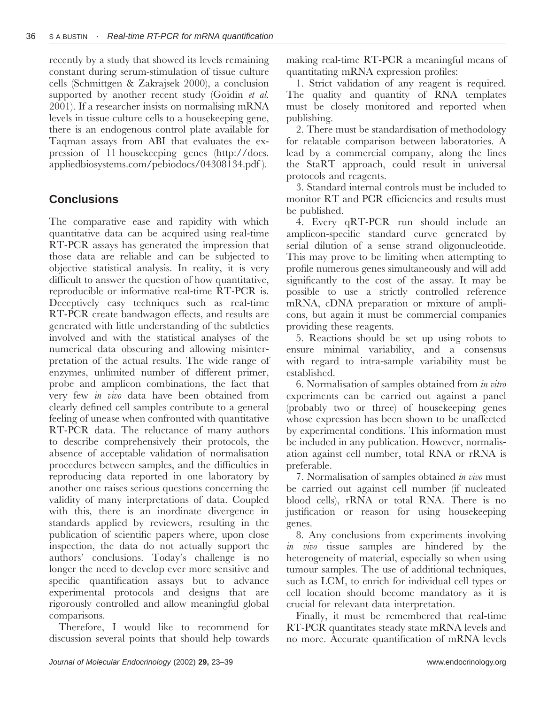recently by a study that showed its levels remaining constant during serum-stimulation of tissue culture cells (Schmittgen & Zakrajsek 2000), a conclusion supported by another recent study (Goidin *et al.* 2001). If a researcher insists on normalising mRNA levels in tissue culture cells to a housekeeping gene, there is an endogenous control plate available for Taqman assays from ABI that evaluates the expression of 11 housekeeping genes (http://docs. appliedbiosystems.com/pebiodocs/04308134.pdf ).

# **Conclusions**

The comparative ease and rapidity with which quantitative data can be acquired using real-time RT-PCR assays has generated the impression that those data are reliable and can be subjected to objective statistical analysis. In reality, it is very difficult to answer the question of how quantitative, reproducible or informative real-time RT-PCR is. Deceptively easy techniques such as real-time RT-PCR create bandwagon effects, and results are generated with little understanding of the subtleties involved and with the statistical analyses of the numerical data obscuring and allowing misinterpretation of the actual results. The wide range of enzymes, unlimited number of different primer, probe and amplicon combinations, the fact that very few *in vivo* data have been obtained from clearly defined cell samples contribute to a general feeling of unease when confronted with quantitative RT-PCR data. The reluctance of many authors to describe comprehensively their protocols, the absence of acceptable validation of normalisation procedures between samples, and the difficulties in reproducing data reported in one laboratory by another one raises serious questions concerning the validity of many interpretations of data. Coupled with this, there is an inordinate divergence in standards applied by reviewers, resulting in the publication of scientific papers where, upon close inspection, the data do not actually support the authors' conclusions. Today's challenge is no longer the need to develop ever more sensitive and specific quantification assays but to advance experimental protocols and designs that are rigorously controlled and allow meaningful global comparisons.

Therefore, I would like to recommend for discussion several points that should help towards making real-time RT-PCR a meaningful means of quantitating mRNA expression profiles:

1. Strict validation of any reagent is required. The quality and quantity of RNA templates must be closely monitored and reported when publishing.

2. There must be standardisation of methodology for relatable comparison between laboratories. A lead by a commercial company, along the lines the StaRT approach, could result in universal protocols and reagents.

3. Standard internal controls must be included to monitor RT and PCR efficiencies and results must be published.

4. Every qRT-PCR run should include an amplicon-specific standard curve generated by serial dilution of a sense strand oligonucleotide. This may prove to be limiting when attempting to profile numerous genes simultaneously and will add significantly to the cost of the assay. It may be possible to use a strictly controlled reference mRNA, cDNA preparation or mixture of amplicons, but again it must be commercial companies providing these reagents.

5. Reactions should be set up using robots to ensure minimal variability, and a consensus with regard to intra-sample variability must be established.

6. Normalisation of samples obtained from *in vitro* experiments can be carried out against a panel (probably two or three) of housekeeping genes whose expression has been shown to be unaffected by experimental conditions. This information must be included in any publication. However, normalisation against cell number, total RNA or rRNA is preferable.

7. Normalisation of samples obtained *in vivo* must be carried out against cell number (if nucleated blood cells), rRNA or total RNA. There is no justification or reason for using housekeeping genes.

8. Any conclusions from experiments involving *in vivo* tissue samples are hindered by the heterogeneity of material, especially so when using tumour samples. The use of additional techniques, such as LCM, to enrich for individual cell types or cell location should become mandatory as it is crucial for relevant data interpretation.

Finally, it must be remembered that real-time RT-PCR quantitates steady state mRNA levels and no more. Accurate quantification of mRNA levels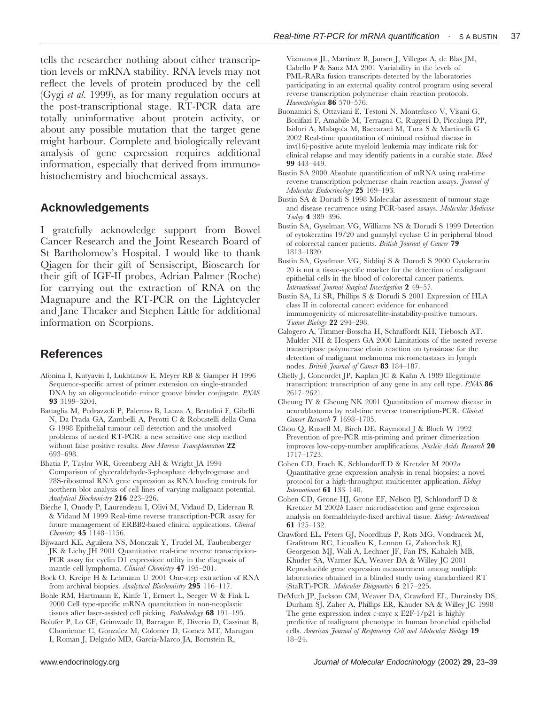tells the researcher nothing about either transcription levels or mRNA stability. RNA levels may not reflect the levels of protein produced by the cell (Gygi *et al.* 1999), as for many regulation occurs at the post-transcriptional stage. RT-PCR data are totally uninformative about protein activity, or about any possible mutation that the target gene might harbour. Complete and biologically relevant analysis of gene expression requires additional information, especially that derived from immunohistochemistry and biochemical assays.

#### **Acknowledgements**

I gratefully acknowledge support from Bowel Cancer Research and the Joint Research Board of St Bartholomew's Hospital. I would like to thank Qiagen for their gift of Sensiscript, Biosearch for their gift of IGF-II probes, Adrian Palmer (Roche) for carrying out the extraction of RNA on the Magnapure and the RT-PCR on the Lightcycler and Jane Theaker and Stephen Little for additional information on Scorpions.

#### **References**

- Afonina I, Kutyavin I, Lukhtanov E, Meyer RB & Gamper H 1996 Sequence-specific arrest of primer extension on single-stranded DNA by an oligonucleotide–minor groove binder conjugate. *PNAS* **93** 3199–3204.
- Battaglia M, Pedrazzoli P, Palermo B, Lanza A, Bertolini F, Gibelli N, Da Prada GA, Zambelli A, Perotti C & Robustelli della Cuna G 1998 Epithelial tumour cell detection and the unsolved problems of nested RT-PCR: a new sensitive one step method without false positive results. *Bone Marrow Transplantation* **22** 693–698.
- Bhatia P, Taylor WR, Greenberg AH & Wright JA 1994 Comparison of glyceraldehyde-3-phosphate dehydrogenase and 28S-ribosomal RNA gene expression as RNA loading controls for northern blot analysis of cell lines of varying malignant potential. *Analytical Biochemistry* **216** 223–226.
- Bieche I, Onody P, Laurendeau I, Olivi M, Vidaud D, Lidereau R & Vidaud M 1999 Real-time reverse transcription-PCR assay for future management of ERBB2-based clinical applications. *Clinical Chemistry* **45** 1148–1156.
- Bijwaard KE, Aguilera NS, Monczak Y, Trudel M, Taubenberger JK & Lichy JH 2001 Quantitative real-time reverse transcription-PCR assay for cyclin D1 expression: utility in the diagnosis of mantle cell lymphoma. *Clinical Chemistry* **47** 195–201.
- Bock O, Kreipe H & Lehmann U 2001 One-step extraction of RNA from archival biopsies. *Analytical Biochemistry* **295** 116–117.
- Bohle RM, Hartmann E, Kinfe T, Ermert L, Seeger W & Fink L 2000 Cell type-specific mRNA quantitation in non-neoplastic tissues after laser-assisted cell picking. *Pathobiology* **68** 191–195.
- Bolufer P, Lo CF, Grimwade D, Barragan E, Diverio D, Cassinat B, Chomienne C, Gonzalez M, Colomer D, Gomez MT, Marugan I, Roman J, Delgado MD, Garcia-Marco JA, Bornstein R,

Vizmanos JL, Martinez B, Jansen J, Villegas A, de Blas JM, Cabello P & Sanz MA 2001 Variability in the levels of PML-RARa fusion transcripts detected by the laboratories participating in an external quality control program using several reverse transcription polymerase chain reaction protocols. *Haematologica* **86** 570–576.

- Buonamici S, Ottaviani E, Testoni N, Montefusco V, Visani G, Bonifazi F, Amabile M, Terragna C, Ruggeri D, Piccaluga PP, Isidori A, Malagola M, Baccarani M, Tura S & Martinelli G 2002 Real-time quantitation of minimal residual disease in inv(16)-positive acute myeloid leukemia may indicate risk for clinical relapse and may identify patients in a curable state. *Blood* **99** 443–449.
- Bustin SA 2000 Absolute quantification of mRNA using real-time reverse transcription polymerase chain reaction assays. *Journal of Molecular Endocrinology* **25** 169–193.
- Bustin SA & Dorudi S 1998 Molecular assessment of tumour stage and disease recurrence using PCR-based assays. *Molecular Medicine Today* **4** 389–396.
- Bustin SA, Gyselman VG, Williams NS & Dorudi S 1999 Detection of cytokeratins 19/20 and guanylyl cyclase C in peripheral blood of colorectal cancer patients. *British Journal of Cancer* **79** 1813–1820.
- Bustin SA, Gyselman VG, Siddiqi S & Dorudi S 2000 Cytokeratin 20 is not a tissue-specific marker for the detection of malignant epithelial cells in the blood of colorectal cancer patients. *International Journal Surgical Investigation* **2** 49–57.
- Bustin SA, Li SR, Phillips S & Dorudi S 2001 Expression of HLA class II in colorectal cancer: evidence for enhanced immunogenicity of microsatellite-instability-positive tumours. *Tumor Biology* **22** 294–298.
- Calogero A, Timmer-Bosscha H, Schraffordt KH, Tiebosch AT, Mulder NH & Hospers GA 2000 Limitations of the nested reverse transcriptase polymerase chain reaction on tyrosinase for the detection of malignant melanoma micrometastases in lymph nodes. *British Journal of Cancer* **83** 184–187.
- Chelly J, Concordet JP, Kaplan JC & Kahn A 1989 Illegitimate transcription: transcription of any gene in any cell type. *PNAS* **86** 2617–2621.
- Cheung IY & Cheung NK 2001 Quantitation of marrow disease in neuroblastoma by real-time reverse transcription-PCR. *Clinical Cancer Research* **7** 1698–1705.
- Chou Q, Russell M, Birch DE, Raymond J & Bloch W 1992 Prevention of pre-PCR mis-priming and primer dimerization improves low-copy-number amplifications. *Nucleic Acids Research* **20** 1717–1723.
- Cohen CD, Frach K, Schlondorff D & Kretzler M 2002*a* Quantitative gene expression analysis in renal biopsies: a novel protocol for a high-throughput multicenter application. *Kidney International* **61** 133–140.
- Cohen CD, Grone HJ, Grone EF, Nelson PJ, Schlondorff D & Kretzler M 2002*b* Laser microdissection and gene expression analysis on formaldehyde-fixed archival tissue. *Kidney International* **61** 125–132.
- Crawford EL, Peters GJ, Noordhuis P, Rots MG, Vondracek M, Grafstrom RC, Lieuallen K, Lennon G, Zahorchak RJ, Georgeson MJ, Wali A, Lechner JF, Fan PS, Kahaleh MB, Khuder SA, Warner KA, Weaver DA & Willey JC 2001 Reproducible gene expression measurement among multiple laboratories obtained in a blinded study using standardized RT (StaRT)-PCR. *Molecular Diagnostics* **6** 217–225.
- DeMuth JP, Jackson CM, Weaver DA, Crawford EL, Durzinsky DS, Durham SJ, Zaher A, Phillips ER, Khuder SA & Willey JC 1998 The gene expression index c-myc x E2F-1/p21 is highly predictive of malignant phenotype in human bronchial epithelial cells. *American Journal of Respiratory Cell and Molecular Biology* **19** 18–24.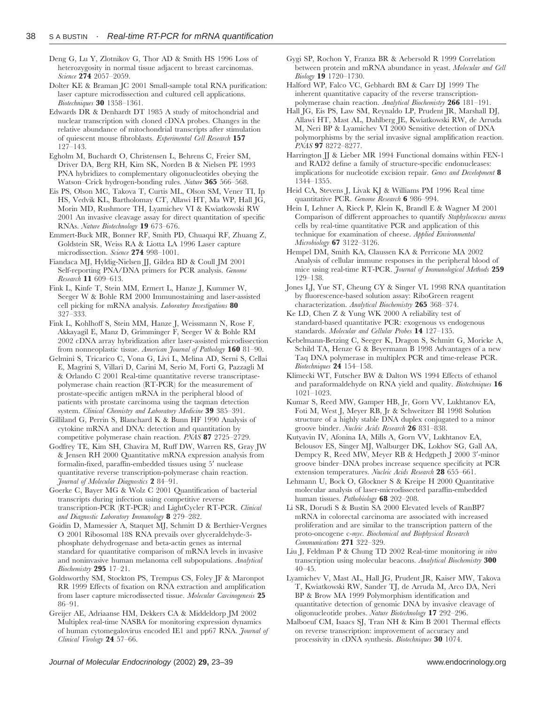Deng G, Lu Y, Zlotnikov G, Thor AD & Smith HS 1996 Loss of heterozygosity in normal tissue adjacent to breast carcinomas. *Science* **274** 2057–2059.

Dolter KE & Braman JC 2001 Small-sample total RNA purification: laser capture microdissection and cultured cell applications. *Biotechniques* **30** 1358–1361.

Edwards DR & Denhardt DT 1985 A study of mitochondrial and nuclear transcription with cloned cDNA probes. Changes in the relative abundance of mitochondrial transcripts after stimulation of quiescent mouse fibroblasts. *Experimental Cell Research* **157** 127–143.

Egholm M, Buchardt O, Christensen L, Behrens C, Freier SM, Driver DA, Berg RH, Kim SK, Norden B & Nielsen PE 1993 PNA hybridizes to complementary oligonucleotides obeying the Watson–Crick hydrogen-bonding rules. *Nature* **365** 566–568.

Eis PS, Olson MC, Takova T, Curtis ML, Olson SM, Vener TI, Ip HS, Vedvik KL, Bartholomay CT, Allawi HT, Ma WP, Hall JG, Morin MD, Rushmore TH, Lyamichev VI & Kwiatkowski RW 2001 An invasive cleavage assay for direct quantitation of specific RNAs. *Nature Biotechnology* **19** 673–676.

Emmert-Buck MR, Bonner RF, Smith PD, Chuaqui RF, Zhuang Z, Goldstein SR, Weiss RA & Liotta LA 1996 Laser capture microdissection. *Science* **274** 998–1001.

Fiandaca MJ, Hyldig-Nielsen JJ, Gildea BD & Coull JM 2001 Self-reporting PNA/DNA primers for PCR analysis. *Genome Research* **11** 609–613.

Fink L, Kinfe T, Stein MM, Ermert L, Hanze J, Kummer W, Seeger W & Bohle RM 2000 Immunostaining and laser-assisted cell picking for mRNA analysis. *Laboratory Investigations* **80** 327–333.

Fink L, Kohlhoff S, Stein MM, Hanze J, Weissmann N, Rose F, Akkayagil E, Manz D, Grimminger F, Seeger W & Bohle RM 2002 cDNA array hybridization after laser-assisted microdissection from nonneoplastic tissue. *American Journal of Pathology* **160** 81–90.

Gelmini S, Tricarico C, Vona G, Livi L, Melina AD, Serni S, Cellai E, Magrini S, Villari D, Carini M, Serio M, Forti G, Pazzagli M & Orlando C 2001 Real-time quantitative reverse transcriptasepolymerase chain reaction (RT-PCR) for the measurement of prostate-specific antigen mRNA in the peripheral blood of patients with prostate carcinoma using the taqman detection system. *Clinical Chemistry and Laboratory Medicine* **39** 385–391.

Gilliland G, Perrin S, Blanchard K & Bunn HF 1990 Analysis of cytokine mRNA and DNA: detection and quantitation by competitive polymerase chain reaction. *PNAS* **87** 2725–2729.

Godfrey TE, Kim SH, Chavira M, Ruff DW, Warren RS, Gray JW & Jensen RH 2000 Quantitative mRNA expression analysis from formalin-fixed, paraffin-embedded tissues using 5' nuclease quantitative reverse transcription-polymerase chain reaction. *Journal of Molecular Diagnostics* **2** 84–91.

Goerke C, Bayer MG & Wolz C 2001 Quantification of bacterial transcripts during infection using competitive reverse transcription-PCR (RT-PCR) and LightCycler RT-PCR. *Clinical and Diagnostic Laboratory Immunology* **8** 279–282.

Goidin D, Mamessier A, Staquet MJ, Schmitt D & Berthier-Vergnes O 2001 Ribosomal 18S RNA prevails over glyceraldehyde-3 phosphate dehydrogenase and beta-actin genes as internal standard for quantitative comparison of mRNA levels in invasive and noninvasive human melanoma cell subpopulations. *Analytical Biochemistry* **295** 17–21.

Goldsworthy SM, Stockton PS, Trempus CS, Foley JF & Maronpot RR 1999 Effects of fixation on RNA extraction and amplification from laser capture microdissected tissue. *Molecular Carcinogenesis* **25** 86–91.

Greijer AE, Adriaanse HM, Dekkers CA & Middeldorp JM 2002 Multiplex real-time NASBA for monitoring expression dynamics of human cytomegalovirus encoded IE1 and pp67 RNA. *Journal of Clinical Virology* **24** 57–66.

Halford WP, Falco VC, Gebhardt BM & Carr DJ 1999 The inherent quantitative capacity of the reverse transcriptionpolymerase chain reaction. *Analytical Biochemistry* **266** 181–191.

- Hall JG, Eis PS, Law SM, Reynaldo LP, Prudent JR, Marshall DJ, Allawi HT, Mast AL, Dahlberg JE, Kwiatkowski RW, de Arruda M, Neri BP & Lyamichev VI 2000 Sensitive detection of DNA polymorphisms by the serial invasive signal amplification reaction. *PNAS* **97** 8272–8277.
- Harrington JJ & Lieber MR 1994 Functional domains within FEN-1 and RAD2 define a family of structure-specific endonucleases: implications for nucleotide excision repair. *Genes and Development* **8** 1344–1355.
- Heid CA, Stevens J, Livak KJ & Williams PM 1996 Real time quantitative PCR. *Genome Research* **6** 986–994.
- Hein I, Lehner A, Rieck P, Klein K, Brandl E & Wagner M 2001 Comparison of different approaches to quantify *Staphylococcus aureus* cells by real-time quantitative PCR and application of this technique for examination of cheese. *Applied Environmental Microbiology* **67** 3122–3126.

Hempel DM, Smith KA, Claussen KA & Perricone MA 2002 Analysis of cellular immune responses in the peripheral blood of mice using real-time RT-PCR. *Journal of Immunological Methods* **259** 129–138.

Jones LJ, Yue ST, Cheung CY & Singer VL 1998 RNA quantitation by fluorescence-based solution assay: RiboGreen reagent characterization. *Analytical Biochemistry* **265** 368–374.

Ke LD, Chen Z & Yung WK 2000 A reliability test of standard-based quantitative PCR: exogenous vs endogenous standards. *Molecular and Cellular Probes* **14** 127–135.

Kebelmann-Betzing C, Seeger K, Dragon S, Schmitt G, Moricke A, Schild TA, Henze G & Beyermann B 1998 Advantages of a new Taq DNA polymerase in multiplex PCR and time-release PCR. *Biotechniques* **24** 154–158.

Klimecki WT, Futscher BW & Dalton WS 1994 Effects of ethanol and paraformaldehyde on RNA yield and quality. *Biotechniques* **16** 1021–1023.

Kumar S, Reed MW, Gamper HB, Jr, Gorn VV, Lukhtanov EA, Foti M, West J, Meyer RB, Jr & Schweitzer BI 1998 Solution structure of a highly stable DNA duplex conjugated to a minor groove binder. *Nucleic Acids Research* **26** 831–838.

Kutyavin IV, Afonina IA, Mills A, Gorn VV, Lukhtanov EA, Belousov ES, Singer MJ, Walburger DK, Lokhov SG, Gall AA, Dempcy R, Reed MW, Meyer RB & Hedgpeth J 2000 3'-minor groove binder–DNA probes increase sequence specificity at PCR extension temperatures. *Nucleic Acids Research* **28** 655–661.

Lehmann U, Bock O, Glockner S & Kreipe H 2000 Quantitative molecular analysis of laser-microdissected paraffin-embedded human tissues. *Pathobiology* **68** 202–208.

Li SR, Dorudi S & Bustin SA 2000 Elevated levels of RanBP7 mRNA in colorectal carcinoma are associated with increased proliferation and are similar to the transcription pattern of the proto-oncogene c-*myc*. *Biochemical and Biophysical Research Communications* **271** 322–329.

Liu J, Feldman P & Chung TD 2002 Real-time monitoring *in vitro* transcription using molecular beacons. *Analytical Biochemistry* **300** 40–45.

Lyamichev V, Mast AL, Hall JG, Prudent JR, Kaiser MW, Takova T, Kwiatkowski RW, Sander TJ, de Arruda M, Arco DA, Neri BP & Brow MA 1999 Polymorphism identification and quantitative detection of genomic DNA by invasive cleavage of oligonucleotide probes. *Nature Biotechnology* **17** 292–296.

Malboeuf CM, Isaacs SJ, Tran NH & Kim B 2001 Thermal effects on reverse transcription: improvement of accuracy and processivity in cDNA synthesis. *Biotechniques* **30** 1074.